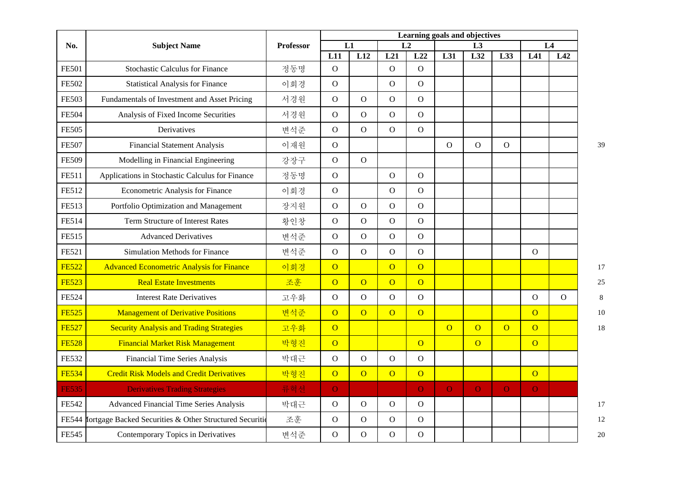| No.          | <b>Subject Name</b>                                     | <b>Professor</b> | Learning goals and objectives |                |                |                |                |                |                |                |                |    |
|--------------|---------------------------------------------------------|------------------|-------------------------------|----------------|----------------|----------------|----------------|----------------|----------------|----------------|----------------|----|
|              |                                                         |                  |                               | L1             | L <sub>2</sub> |                | L3             |                |                | L4             |                |    |
|              |                                                         |                  | L11                           | L12            | L21            | L22            | L31            | L32            | L33            | L41            | L42            |    |
| <b>FE501</b> | <b>Stochastic Calculus for Finance</b>                  | 정동명              | $\mathbf O$                   |                | $\overline{O}$ | $\overline{O}$ |                |                |                |                |                |    |
| <b>FE502</b> | <b>Statistical Analysis for Finance</b>                 | 이회경              | $\mathbf{O}$                  |                | $\overline{O}$ | $\overline{O}$ |                |                |                |                |                |    |
| <b>FE503</b> | Fundamentals of Investment and Asset Pricing            | 서경원              | $\overline{O}$                | $\mathbf{O}$   | $\mathbf{O}$   | $\mathbf{O}$   |                |                |                |                |                |    |
| <b>FE504</b> | Analysis of Fixed Income Securities                     | 서경원              | $\overline{O}$                | $\mathbf{O}$   | $\mathbf{O}$   | $\mathbf{O}$   |                |                |                |                |                |    |
| <b>FE505</b> | Derivatives                                             | 변석준              | $\overline{O}$                | $\overline{O}$ | $\mathbf O$    | $\overline{O}$ |                |                |                |                |                |    |
| <b>FE507</b> | <b>Financial Statement Analysis</b>                     | 이재원              | $\overline{O}$                |                |                |                | $\mathbf{O}$   | $\mathbf O$    | $\mathbf{O}$   |                |                | 39 |
| <b>FE509</b> | Modelling in Financial Engineering                      | 강장구              | $\overline{O}$                | $\mathbf{O}$   |                |                |                |                |                |                |                |    |
| <b>FE511</b> | Applications in Stochastic Calculus for Finance         | 정동명              | $\mathbf{O}$                  |                | $\mathbf O$    | $\mathbf{O}$   |                |                |                |                |                |    |
| <b>FE512</b> | <b>Econometric Analysis for Finance</b>                 | 이회경              | $\mathbf{O}$                  |                | $\Omega$       | $\mathbf{O}$   |                |                |                |                |                |    |
| FE513        | Portfolio Optimization and Management                   | 장지원              | ${\rm O}$                     | $\mathbf{O}$   | $\mathbf{O}$   | $\mathbf{O}$   |                |                |                |                |                |    |
| <b>FE514</b> | Term Structure of Interest Rates                        | 황인창              | $\mathbf{O}$                  | $\overline{O}$ | $\overline{O}$ | $\mathbf O$    |                |                |                |                |                |    |
| <b>FE515</b> | <b>Advanced Derivatives</b>                             | 변석준              | $\overline{O}$                | $\mathbf{O}$   | $\mathbf O$    | $\mathbf{O}$   |                |                |                |                |                |    |
| FE521        | Simulation Methods for Finance                          | 변석준              | $\overline{O}$                | $\mathbf O$    | $\mathbf{O}$   | $\mathbf{O}$   |                |                |                | $\mathbf{O}$   |                |    |
| <b>FE522</b> | <b>Advanced Econometric Analysis for Finance</b>        | 이회경              | $\overline{O}$                |                | $\overline{O}$ | $\overline{O}$ |                |                |                |                |                | 17 |
| <b>FE523</b> | <b>Real Estate Investments</b>                          | 조훈               | $\overline{O}$                | $\overline{O}$ | $\overline{O}$ | $\overline{0}$ |                |                |                |                |                | 25 |
| <b>FE524</b> | <b>Interest Rate Derivatives</b>                        | 고우화              | $\mathbf{O}$                  | $\mathbf{O}$   | $\mathcal{O}$  | $\mathbf{O}$   |                |                |                | $\mathbf O$    | $\overline{O}$ | 8  |
| <b>FE525</b> | <b>Management of Derivative Positions</b>               | 변석준              | $\overline{O}$                | $\overline{O}$ | $\overline{O}$ | $\overline{O}$ |                |                |                | $\overline{O}$ |                | 10 |
| <b>FE527</b> | <b>Security Analysis and Trading Strategies</b>         | 고우화              | $\overline{O}$                |                |                |                | $\overline{O}$ | $\overline{O}$ | $\overline{O}$ | $\overline{O}$ |                | 18 |
| <b>FE528</b> | <b>Financial Market Risk Management</b>                 | 박형진              | $\overline{O}$                |                |                | $\overline{O}$ |                | $\overline{O}$ |                | $\overline{O}$ |                |    |
| FE532        | Financial Time Series Analysis                          | 박대근              | $\mathcal{O}$                 | $\mathbf{O}$   | $\overline{O}$ | $\mathbf{O}$   |                |                |                |                |                |    |
| <b>FE534</b> | <b>Credit Risk Models and Credit Derivatives</b>        | 박형진              | $\overline{O}$                | $\overline{O}$ | $\overline{O}$ | $\overline{O}$ |                |                |                | $\overline{O}$ |                |    |
| <b>FE535</b> | <b>Derivatives Trading Strategies</b>                   | 류혁선              | $\overline{O}$                |                |                | $\overline{O}$ | $\overline{O}$ | $\mathbf O$    | $\Omega$       | $\overline{O}$ |                |    |
| <b>FE542</b> | Advanced Financial Time Series Analysis                 | 박대근              | $\mathbf{O}$                  | $\mathbf{O}$   | $\Omega$       | $\mathbf{O}$   |                |                |                |                |                | 17 |
| <b>FE544</b> | Iortgage Backed Securities & Other Structured Securitie | 조훈               | $\mathbf{O}$                  | $\mathbf{O}$   | $\mathcal{O}$  | $\mathbf{O}$   |                |                |                |                |                | 12 |
| <b>FE545</b> | Contemporary Topics in Derivatives                      | 변석준              | $\overline{O}$                | $\overline{O}$ | $\overline{O}$ | $\overline{O}$ |                |                |                |                |                | 20 |